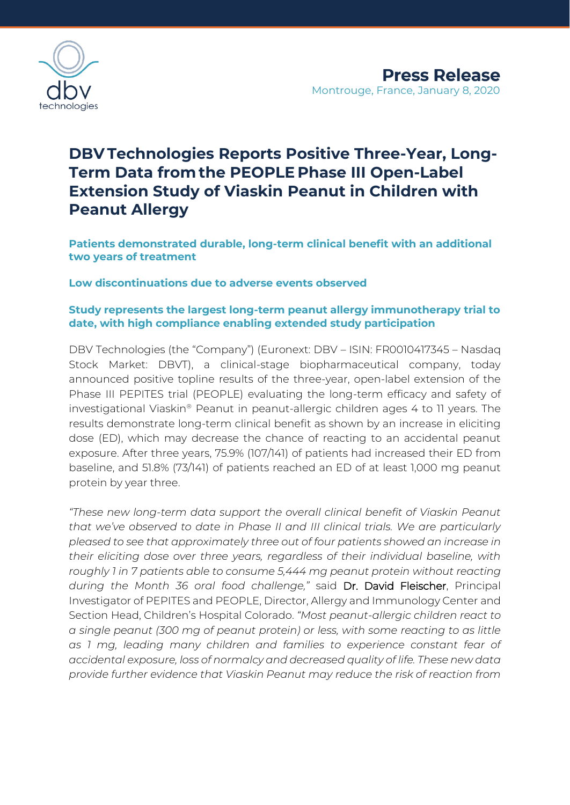

# **DBV Technologies Reports Positive Three-Year, Long-Term Data fromthe PEOPLE Phase III Open-Label Extension Study of Viaskin Peanut in Children with Peanut Allergy**

**Patients demonstrated durable, long-term clinical benefit with an additional two years of treatment**

**Low discontinuations due to adverse events observed** 

# **Study represents the largest long-term peanut allergy immunotherapy trial to date, with high compliance enabling extended study participation**

DBV Technologies (the "Company") (Euronext: DBV – ISIN: FR0010417345 – Nasdaq Stock Market: DBVT), a clinical-stage biopharmaceutical company, today announced positive topline results of the three-year, open-label extension of the Phase III PEPITES trial (PEOPLE) evaluating the long-term efficacy and safety of investigational Viaskin® Peanut in peanut-allergic children ages 4 to 11 years. The results demonstrate long-term clinical benefit as shown by an increase in eliciting dose (ED), which may decrease the chance of reacting to an accidental peanut exposure. After three years, 75.9% (107/141) of patients had increased their ED from baseline, and 51.8% (73/141) of patients reached an ED of at least 1,000 mg peanut protein by year three.

*"These new long-term data support the overall clinical benefit of Viaskin Peanut that we've observed to date in Phase II and III clinical trials. We are particularly pleased to see that approximately three out of four patients showed an increase in their eliciting dose over three years, regardless of their individual baseline, with roughly 1 in 7 patients able to consume 5,444 mg peanut protein without reacting during the Month 36 oral food challenge,"* said Dr. David Fleischer, Principal Investigator of PEPITES and PEOPLE, Director, Allergy and Immunology Center and Section Head, Children's Hospital Colorado. *"Most peanut-allergic children react to a single peanut (300 mg of peanut protein) or less, with some reacting to as little as 1 mg, leading many children and families to experience constant fear of accidental exposure, loss of normalcy and decreased quality of life. These new data provide further evidence that Viaskin Peanut may reduce the risk of reaction from*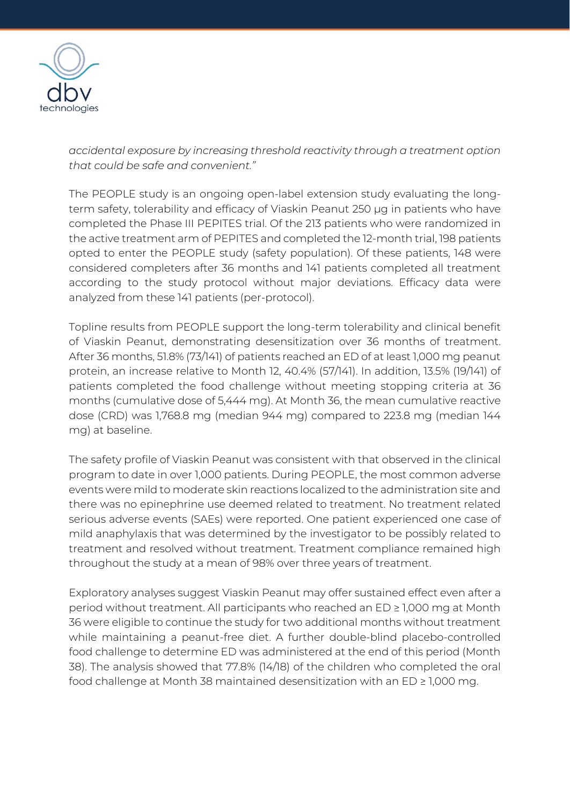

*accidental exposure by increasing threshold reactivity through a treatment option that could be safe and convenient."*

The PEOPLE study is an ongoing open-label extension study evaluating the longterm safety, tolerability and efficacy of Viaskin Peanut 250 μg in patients who have completed the Phase III PEPITES trial. Of the 213 patients who were randomized in the active treatment arm of PEPITES and completed the 12-month trial, 198 patients opted to enter the PEOPLE study (safety population). Of these patients, 148 were considered completers after 36 months and 141 patients completed all treatment according to the study protocol without major deviations. Efficacy data were analyzed from these 141 patients (per-protocol).

Topline results from PEOPLE support the long-term tolerability and clinical benefit of Viaskin Peanut, demonstrating desensitization over 36 months of treatment. After 36 months, 51.8% (73/141) of patients reached an ED of at least 1,000 mg peanut protein, an increase relative to Month 12, 40.4% (57/141). In addition, 13.5% (19/141) of patients completed the food challenge without meeting stopping criteria at 36 months (cumulative dose of 5,444 mg). At Month 36, the mean cumulative reactive dose (CRD) was 1,768.8 mg (median 944 mg) compared to 223.8 mg (median 144 mg) at baseline.

The safety profile of Viaskin Peanut was consistent with that observed in the clinical program to date in over 1,000 patients. During PEOPLE, the most common adverse events were mild to moderate skin reactions localized to the administration site and there was no epinephrine use deemed related to treatment. No treatment related serious adverse events (SAEs) were reported. One patient experienced one case of mild anaphylaxis that was determined by the investigator to be possibly related to treatment and resolved without treatment. Treatment compliance remained high throughout the study at a mean of 98% over three years of treatment.

Exploratory analyses suggest Viaskin Peanut may offer sustained effect even after a period without treatment. All participants who reached an ED ≥ 1,000 mg at Month 36 were eligible to continue the study for two additional months without treatment while maintaining a peanut-free diet. A further double-blind placebo-controlled food challenge to determine ED was administered at the end of this period (Month 38). The analysis showed that 77.8% (14/18) of the children who completed the oral food challenge at Month 38 maintained desensitization with an ED ≥ 1,000 mg.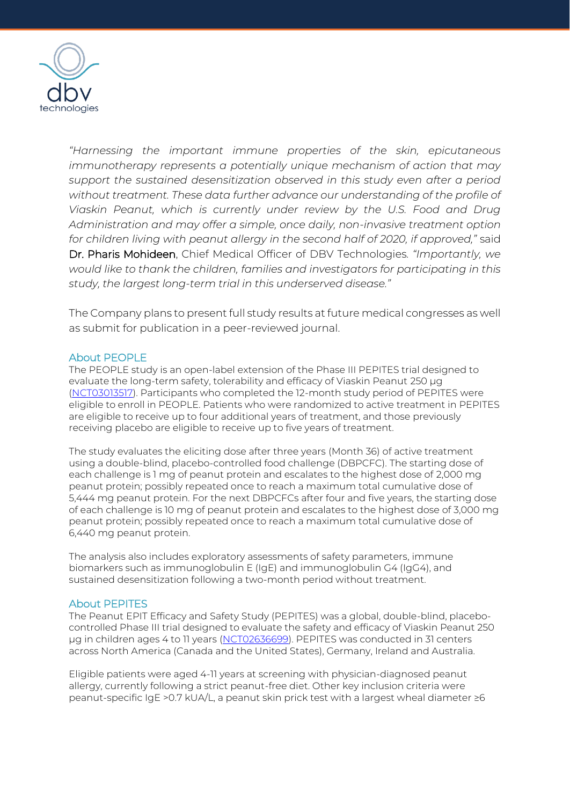

*"Harnessing the important immune properties of the skin, epicutaneous immunotherapy represents a potentially unique mechanism of action that may support the sustained desensitization observed in this study even after a period without treatment. These data further advance our understanding of the profile of Viaskin Peanut, which is currently under review by the U.S. Food and Drug Administration and may offer a simple, once daily, non-invasive treatment option for children living with peanut allergy in the second half of 2020, if approved,"* said Dr. Pharis Mohideen, Chief Medical Officer of DBV Technologies*. "Importantly, we would like to thank the children, families and investigators for participating in this study, the largest long-term trial in this underserved disease."*

The Company plans to present full study results at future medical congresses as well as submit for publication in a peer-reviewed journal.

#### About PEOPLE

The PEOPLE study is an open-label extension of the Phase III PEPITES trial designed to evaluate the long-term safety, tolerability and efficacy of Viaskin Peanut 250 μg [\(NCT03013517\)](https://clinicaltrials.gov/ct2/show/NCT03013517). Participants who completed the 12-month study period of PEPITES were eligible to enroll in PEOPLE. Patients who were randomized to active treatment in PEPITES are eligible to receive up to four additional years of treatment, and those previously receiving placebo are eligible to receive up to five years of treatment.

The study evaluates the eliciting dose after three years (Month 36) of active treatment using a double-blind, placebo-controlled food challenge (DBPCFC). The starting dose of each challenge is 1 mg of peanut protein and escalates to the highest dose of 2,000 mg peanut protein; possibly repeated once to reach a maximum total cumulative dose of 5,444 mg peanut protein. For the next DBPCFCs after four and five years, the starting dose of each challenge is 10 mg of peanut protein and escalates to the highest dose of 3,000 mg peanut protein; possibly repeated once to reach a maximum total cumulative dose of 6,440 mg peanut protein.

The analysis also includes exploratory assessments of safety parameters, immune biomarkers such as immunoglobulin E (IgE) and immunoglobulin G4 (IgG4), and sustained desensitization following a two-month period without treatment.

## About PEPITES

The Peanut EPIT Efficacy and Safety Study (PEPITES) was a global, double-blind, placebocontrolled Phase III trial designed to evaluate the safety and efficacy of Viaskin Peanut 250 μg in children ages 4 to 11 years [\(NCT02636699\)](https://clinicaltrials.gov/ct2/show/NCT02636699). PEPITES was conducted in 31 centers across North America (Canada and the United States), Germany, Ireland and Australia.

Eligible patients were aged 4-11 years at screening with physician-diagnosed peanut allergy, currently following a strict peanut-free diet. Other key inclusion criteria were peanut-specific IgE >0.7 kUA/L, a peanut skin prick test with a largest wheal diameter ≥6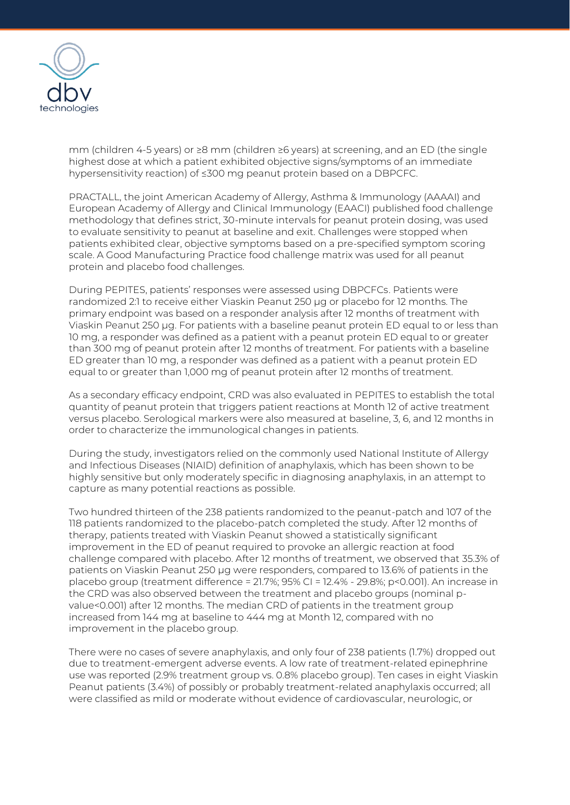

mm (children 4-5 years) or ≥8 mm (children ≥6 years) at screening, and an ED (the single highest dose at which a patient exhibited objective signs/symptoms of an immediate hypersensitivity reaction) of ≤300 mg peanut protein based on a DBPCFC.

PRACTALL, the joint American Academy of Allergy, Asthma & Immunology (AAAAI) and European Academy of Allergy and Clinical Immunology (EAACI) published food challenge methodology that defines strict, 30-minute intervals for peanut protein dosing, was used to evaluate sensitivity to peanut at baseline and exit. Challenges were stopped when patients exhibited clear, objective symptoms based on a pre-specified symptom scoring scale. A Good Manufacturing Practice food challenge matrix was used for all peanut protein and placebo food challenges.

During PEPITES, patients' responses were assessed using DBPCFCs. Patients were randomized 2:1 to receive either Viaskin Peanut 250 μg or placebo for 12 months. The primary endpoint was based on a responder analysis after 12 months of treatment with Viaskin Peanut 250 µg. For patients with a baseline peanut protein ED equal to or less than 10 mg, a responder was defined as a patient with a peanut protein ED equal to or greater than 300 mg of peanut protein after 12 months of treatment. For patients with a baseline ED greater than 10 mg, a responder was defined as a patient with a peanut protein ED equal to or greater than 1,000 mg of peanut protein after 12 months of treatment.

As a secondary efficacy endpoint, CRD was also evaluated in PEPITES to establish the total quantity of peanut protein that triggers patient reactions at Month 12 of active treatment versus placebo. Serological markers were also measured at baseline, 3, 6, and 12 months in order to characterize the immunological changes in patients.

During the study, investigators relied on the commonly used National Institute of Allergy and Infectious Diseases (NIAID) definition of anaphylaxis, which has been shown to be highly sensitive but only moderately specific in diagnosing anaphylaxis, in an attempt to capture as many potential reactions as possible.

Two hundred thirteen of the 238 patients randomized to the peanut-patch and 107 of the 118 patients randomized to the placebo-patch completed the study. After 12 months of therapy, patients treated with Viaskin Peanut showed a statistically significant improvement in the ED of peanut required to provoke an allergic reaction at food challenge compared with placebo. After 12 months of treatment, we observed that 35.3% of patients on Viaskin Peanut 250 μg were responders, compared to 13.6% of patients in the placebo group (treatment difference = 21.7%; 95% CI = 12.4% - 29.8%; p<0.001). An increase in the CRD was also observed between the treatment and placebo groups (nominal pvalue<0.001) after 12 months. The median CRD of patients in the treatment group increased from 144 mg at baseline to 444 mg at Month 12, compared with no improvement in the placebo group.

There were no cases of severe anaphylaxis, and only four of 238 patients (1.7%) dropped out due to treatment-emergent adverse events. A low rate of treatment-related epinephrine use was reported (2.9% treatment group vs. 0.8% placebo group). Ten cases in eight Viaskin Peanut patients (3.4%) of possibly or probably treatment-related anaphylaxis occurred; all were classified as mild or moderate without evidence of cardiovascular, neurologic, or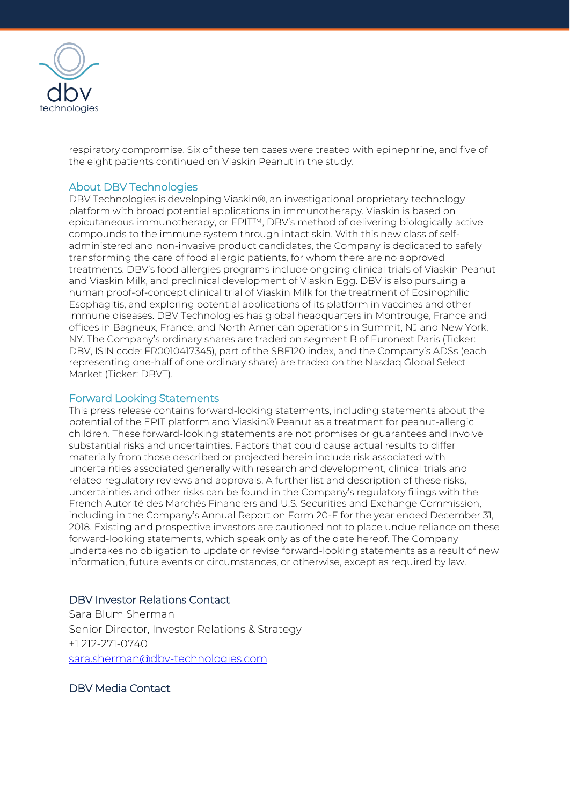

respiratory compromise. Six of these ten cases were treated with epinephrine, and five of the eight patients continued on Viaskin Peanut in the study.

#### About DBV Technologies

DBV Technologies is developing Viaskin®, an investigational proprietary technology platform with broad potential applications in immunotherapy. Viaskin is based on epicutaneous immunotherapy, or EPIT™, DBV's method of delivering biologically active compounds to the immune system through intact skin. With this new class of selfadministered and non-invasive product candidates, the Company is dedicated to safely transforming the care of food allergic patients, for whom there are no approved treatments. DBV's food allergies programs include ongoing clinical trials of Viaskin Peanut and Viaskin Milk, and preclinical development of Viaskin Egg. DBV is also pursuing a human proof-of-concept clinical trial of Viaskin Milk for the treatment of Eosinophilic Esophagitis, and exploring potential applications of its platform in vaccines and other immune diseases. DBV Technologies has global headquarters in Montrouge, France and offices in Bagneux, France, and North American operations in Summit, NJ and New York, NY. The Company's ordinary shares are traded on segment B of Euronext Paris (Ticker: DBV, ISIN code: FR0010417345), part of the SBF120 index, and the Company's ADSs (each representing one-half of one ordinary share) are traded on the Nasdaq Global Select Market (Ticker: DBVT).

## Forward Looking Statements

This press release contains forward-looking statements, including statements about the potential of the EPIT platform and Viaskin® Peanut as a treatment for peanut-allergic children. These forward-looking statements are not promises or guarantees and involve substantial risks and uncertainties. Factors that could cause actual results to differ materially from those described or projected herein include risk associated with uncertainties associated generally with research and development, clinical trials and related regulatory reviews and approvals. A further list and description of these risks, uncertainties and other risks can be found in the Company's regulatory filings with the French Autorité des Marchés Financiers and U.S. Securities and Exchange Commission, including in the Company's Annual Report on Form 20-F for the year ended December 31, 2018. Existing and prospective investors are cautioned not to place undue reliance on these forward-looking statements, which speak only as of the date hereof. The Company undertakes no obligation to update or revise forward-looking statements as a result of new information, future events or circumstances, or otherwise, except as required by law.

## DBV Investor Relations Contact

Sara Blum Sherman Senior Director, Investor Relations & Strategy +1 212-271-0740 [sara.sherman@dbv-technologies.com](mailto:sara.sherman@dbv-technologies.com)

# DBV Media Contact